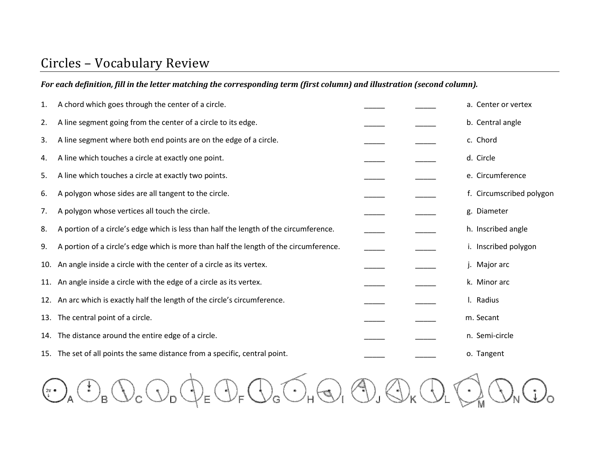# Circles – Vocabulary Review

### For each definition, fill in the letter matching the corresponding term (first column) and illustration (second column).

| 1.  | A chord which goes through the center of a circle.                                    |  | a. Center or vertex      |
|-----|---------------------------------------------------------------------------------------|--|--------------------------|
| 2.  | A line segment going from the center of a circle to its edge.                         |  | b. Central angle         |
| 3.  | A line segment where both end points are on the edge of a circle.                     |  | c. Chord                 |
| 4.  | A line which touches a circle at exactly one point.                                   |  | d. Circle                |
| 5.  | A line which touches a circle at exactly two points.                                  |  | e. Circumference         |
| 6.  | A polygon whose sides are all tangent to the circle.                                  |  | f. Circumscribed polygon |
| 7.  | A polygon whose vertices all touch the circle.                                        |  | g. Diameter              |
| 8.  | A portion of a circle's edge which is less than half the length of the circumference. |  | h. Inscribed angle       |
| 9.  | A portion of a circle's edge which is more than half the length of the circumference. |  | i. Inscribed polygon     |
| 10. | An angle inside a circle with the center of a circle as its vertex.                   |  | j. Major arc             |
|     | 11. An angle inside a circle with the edge of a circle as its vertex.                 |  | k. Minor arc             |
|     | 12. An arc which is exactly half the length of the circle's circumference.            |  | I. Radius                |
|     | 13. The central point of a circle.                                                    |  | m. Secant                |
|     | 14. The distance around the entire edge of a circle.                                  |  | n. Semi-circle           |
|     | 15. The set of all points the same distance from a specific, central point.           |  | o. Tangent               |